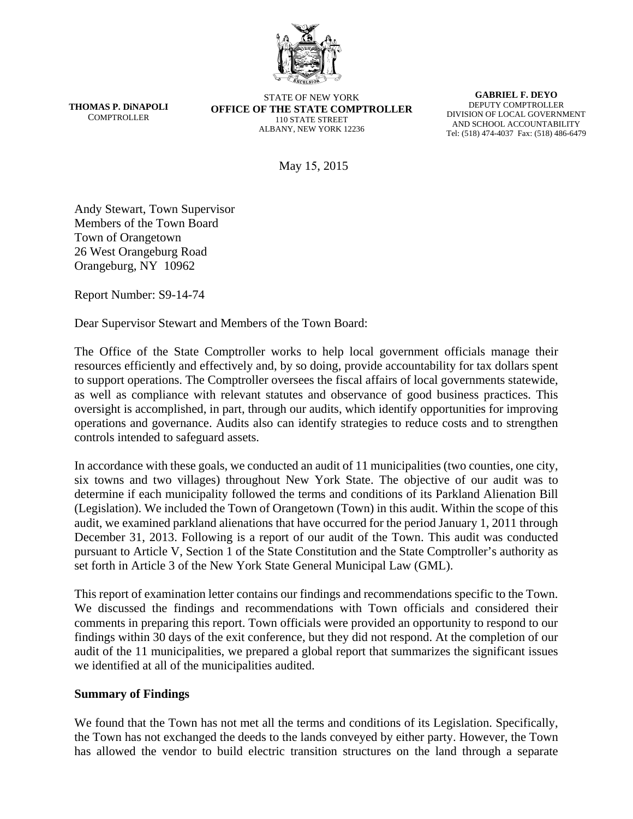

**THOMAS P. DiNAPOLI COMPTROLLER** 

STATE OF NEW YORK **OFFICE OF THE STATE COMPTROLLER**  110 STATE STREET ALBANY, NEW YORK 12236

**GABRIEL F. DEYO**  DEPUTY COMPTROLLER DIVISION OF LOCAL GOVERNMENT AND SCHOOL ACCOUNTABILITY Tel: (518) 474-4037 Fax: (518) 486-6479

May 15, 2015

Andy Stewart, Town Supervisor Members of the Town Board Town of Orangetown 26 West Orangeburg Road Orangeburg, NY 10962

Report Number: S9-14-74

Dear Supervisor Stewart and Members of the Town Board:

The Office of the State Comptroller works to help local government officials manage their resources efficiently and effectively and, by so doing, provide accountability for tax dollars spent to support operations. The Comptroller oversees the fiscal affairs of local governments statewide, as well as compliance with relevant statutes and observance of good business practices. This oversight is accomplished, in part, through our audits, which identify opportunities for improving operations and governance. Audits also can identify strategies to reduce costs and to strengthen controls intended to safeguard assets.

In accordance with these goals, we conducted an audit of 11 municipalities (two counties, one city, six towns and two villages) throughout New York State. The objective of our audit was to determine if each municipality followed the terms and conditions of its Parkland Alienation Bill (Legislation). We included the Town of Orangetown (Town) in this audit. Within the scope of this audit, we examined parkland alienations that have occurred for the period January 1, 2011 through December 31, 2013. Following is a report of our audit of the Town. This audit was conducted pursuant to Article V, Section 1 of the State Constitution and the State Comptroller's authority as set forth in Article 3 of the New York State General Municipal Law (GML).

This report of examination letter contains our findings and recommendations specific to the Town. We discussed the findings and recommendations with Town officials and considered their comments in preparing this report. Town officials were provided an opportunity to respond to our findings within 30 days of the exit conference, but they did not respond. At the completion of our audit of the 11 municipalities, we prepared a global report that summarizes the significant issues we identified at all of the municipalities audited.

#### **Summary of Findings**

We found that the Town has not met all the terms and conditions of its Legislation. Specifically, the Town has not exchanged the deeds to the lands conveyed by either party. However, the Town has allowed the vendor to build electric transition structures on the land through a separate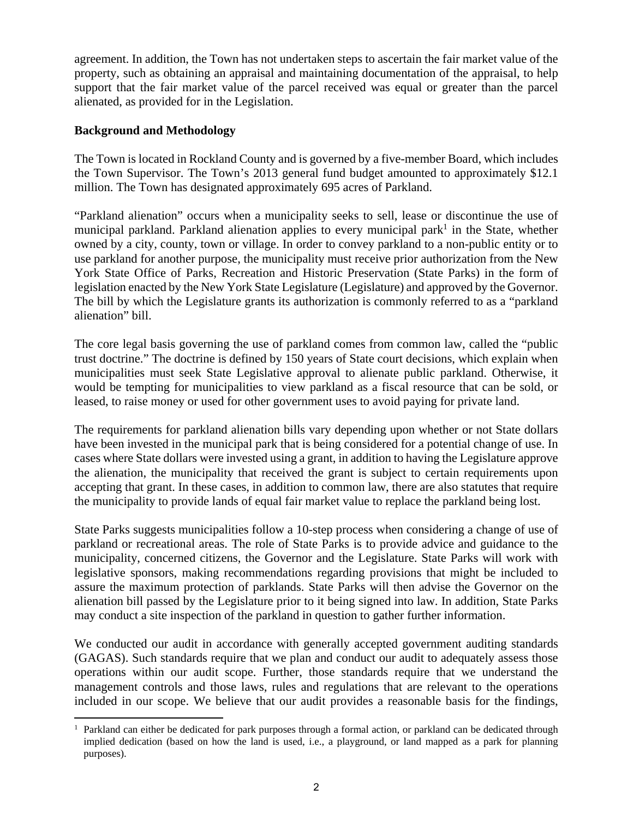agreement. In addition, the Town has not undertaken steps to ascertain the fair market value of the property, such as obtaining an appraisal and maintaining documentation of the appraisal, to help support that the fair market value of the parcel received was equal or greater than the parcel alienated, as provided for in the Legislation.

### **Background and Methodology**

The Town is located in Rockland County and is governed by a five-member Board, which includes the Town Supervisor. The Town's 2013 general fund budget amounted to approximately \$12.1 million. The Town has designated approximately 695 acres of Parkland.

"Parkland alienation" occurs when a municipality seeks to sell, lease or discontinue the use of municipal parkland. Parkland alienation applies to every municipal park<sup>1</sup> in the State, whether owned by a city, county, town or village. In order to convey parkland to a non-public entity or to use parkland for another purpose, the municipality must receive prior authorization from the New York State Office of Parks, Recreation and Historic Preservation (State Parks) in the form of legislation enacted by the New York State Legislature (Legislature) and approved by the Governor. The bill by which the Legislature grants its authorization is commonly referred to as a "parkland alienation" bill.

The core legal basis governing the use of parkland comes from common law, called the "public trust doctrine." The doctrine is defined by 150 years of State court decisions, which explain when municipalities must seek State Legislative approval to alienate public parkland. Otherwise, it would be tempting for municipalities to view parkland as a fiscal resource that can be sold, or leased, to raise money or used for other government uses to avoid paying for private land.

The requirements for parkland alienation bills vary depending upon whether or not State dollars have been invested in the municipal park that is being considered for a potential change of use. In cases where State dollars were invested using a grant, in addition to having the Legislature approve the alienation, the municipality that received the grant is subject to certain requirements upon accepting that grant. In these cases, in addition to common law, there are also statutes that require the municipality to provide lands of equal fair market value to replace the parkland being lost.

State Parks suggests municipalities follow a 10-step process when considering a change of use of parkland or recreational areas. The role of State Parks is to provide advice and guidance to the municipality, concerned citizens, the Governor and the Legislature. State Parks will work with legislative sponsors, making recommendations regarding provisions that might be included to assure the maximum protection of parklands. State Parks will then advise the Governor on the alienation bill passed by the Legislature prior to it being signed into law. In addition, State Parks may conduct a site inspection of the parkland in question to gather further information.

We conducted our audit in accordance with generally accepted government auditing standards (GAGAS). Such standards require that we plan and conduct our audit to adequately assess those operations within our audit scope. Further, those standards require that we understand the management controls and those laws, rules and regulations that are relevant to the operations included in our scope. We believe that our audit provides a reasonable basis for the findings,

 $\overline{a}$ <sup>1</sup> Parkland can either be dedicated for park purposes through a formal action, or parkland can be dedicated through implied dedication (based on how the land is used, i.e., a playground, or land mapped as a park for planning purposes).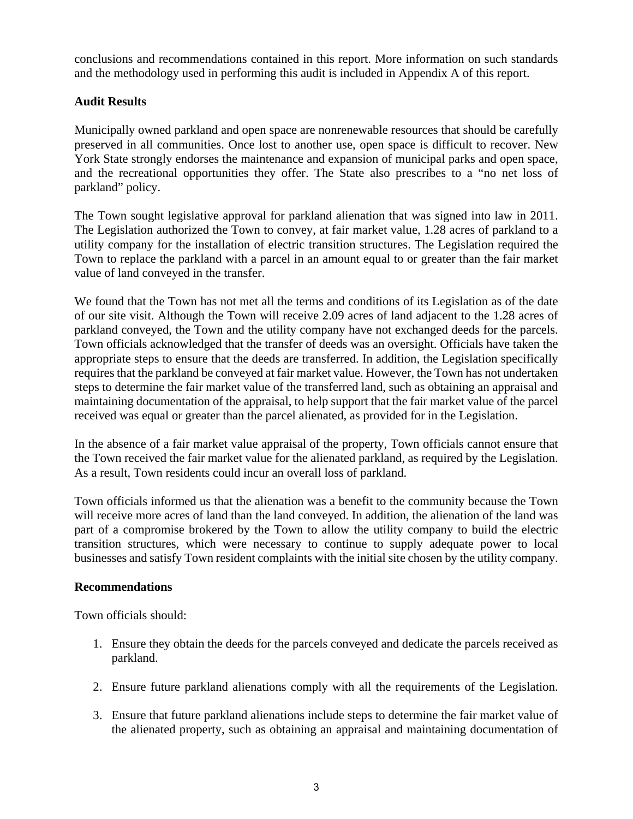conclusions and recommendations contained in this report. More information on such standards and the methodology used in performing this audit is included in Appendix A of this report.

### **Audit Results**

Municipally owned parkland and open space are nonrenewable resources that should be carefully preserved in all communities. Once lost to another use, open space is difficult to recover. New York State strongly endorses the maintenance and expansion of municipal parks and open space, and the recreational opportunities they offer. The State also prescribes to a "no net loss of parkland" policy.

The Town sought legislative approval for parkland alienation that was signed into law in 2011. The Legislation authorized the Town to convey, at fair market value, 1.28 acres of parkland to a utility company for the installation of electric transition structures. The Legislation required the Town to replace the parkland with a parcel in an amount equal to or greater than the fair market value of land conveyed in the transfer.

We found that the Town has not met all the terms and conditions of its Legislation as of the date of our site visit. Although the Town will receive 2.09 acres of land adjacent to the 1.28 acres of parkland conveyed, the Town and the utility company have not exchanged deeds for the parcels. Town officials acknowledged that the transfer of deeds was an oversight. Officials have taken the appropriate steps to ensure that the deeds are transferred. In addition, the Legislation specifically requires that the parkland be conveyed at fair market value. However, the Town has not undertaken steps to determine the fair market value of the transferred land, such as obtaining an appraisal and maintaining documentation of the appraisal, to help support that the fair market value of the parcel received was equal or greater than the parcel alienated, as provided for in the Legislation.

In the absence of a fair market value appraisal of the property, Town officials cannot ensure that the Town received the fair market value for the alienated parkland, as required by the Legislation. As a result, Town residents could incur an overall loss of parkland.

Town officials informed us that the alienation was a benefit to the community because the Town will receive more acres of land than the land conveyed. In addition, the alienation of the land was part of a compromise brokered by the Town to allow the utility company to build the electric transition structures, which were necessary to continue to supply adequate power to local businesses and satisfy Town resident complaints with the initial site chosen by the utility company.

#### **Recommendations**

Town officials should:

- 1. Ensure they obtain the deeds for the parcels conveyed and dedicate the parcels received as parkland.
- 2. Ensure future parkland alienations comply with all the requirements of the Legislation.
- 3. Ensure that future parkland alienations include steps to determine the fair market value of the alienated property, such as obtaining an appraisal and maintaining documentation of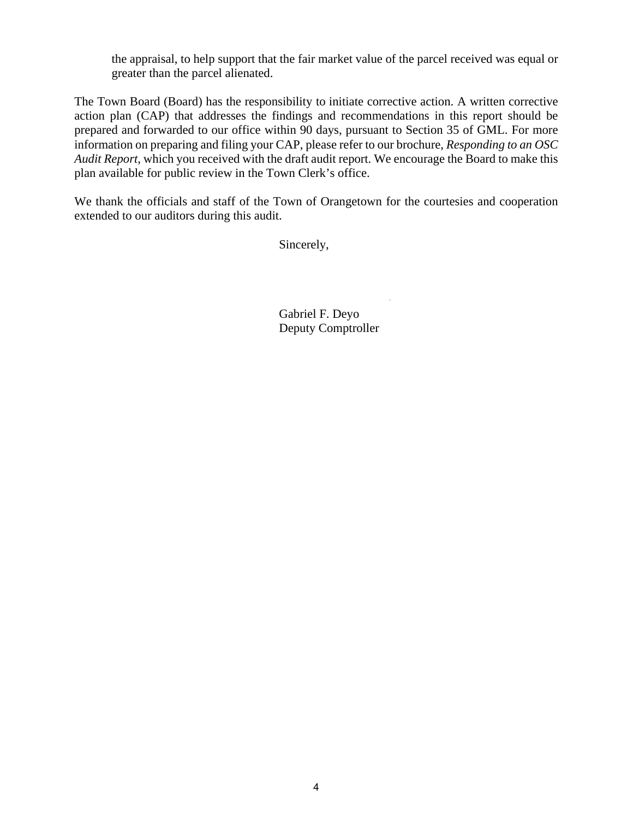the appraisal, to help support that the fair market value of the parcel received was equal or greater than the parcel alienated.

The Town Board (Board) has the responsibility to initiate corrective action. A written corrective action plan (CAP) that addresses the findings and recommendations in this report should be prepared and forwarded to our office within 90 days, pursuant to Section 35 of GML. For more information on preparing and filing your CAP, please refer to our brochure, *Responding to an OSC Audit Report*, which you received with the draft audit report. We encourage the Board to make this plan available for public review in the Town Clerk's office.

We thank the officials and staff of the Town of Orangetown for the courtesies and cooperation extended to our auditors during this audit.

Sincerely,

Gabriel F. Deyo Deputy Comptroller